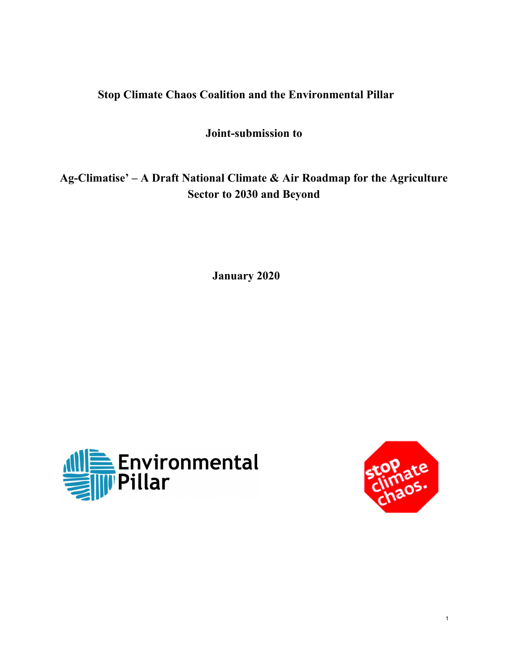# **Stop Climate Chaos Coalition and the Environmental Pillar**

# **Joint-submission to**

**Ag-Climatise' – A Draft National Climate & Air Roadmap for the Agriculture Sector to 2030 and Beyond**

**January 2020**



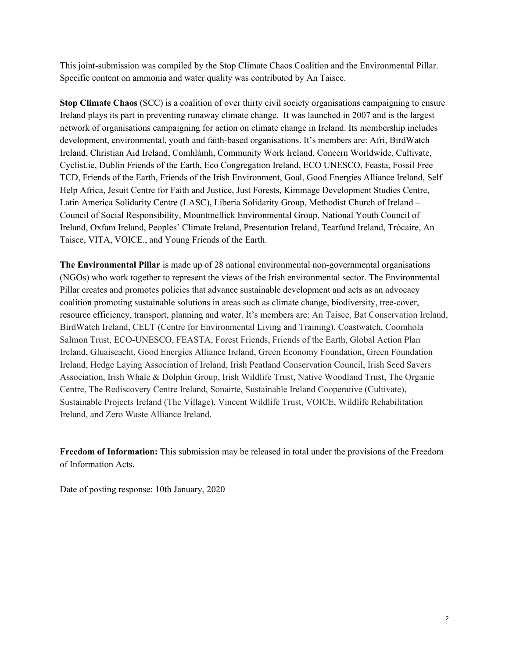This joint-submission was compiled by the Stop Climate Chaos Coalition and the Environmental Pillar. Specific content on ammonia and water quality was contributed by An Taisce.

**Stop Climate Chaos** (SCC) is a coalition of over thirty civil society organisations campaigning to ensure Ireland plays its part in preventing runaway climate change. It was launched in 2007 and is the largest network of organisations campaigning for action on climate change in Ireland. Its membership includes development, environmental, youth and faith-based organisations. It's members are: Afri, BirdWatch Ireland, Christian Aid Ireland, Comhlámh, Community Work Ireland, Concern Worldwide, Cultivate, Cyclist.ie, Dublin Friends of the Earth, Eco Congregation Ireland, ECO UNESCO, Feasta, Fossil Free TCD, Friends of the Earth, Friends of the Irish Environment, Goal, Good Energies Alliance Ireland, Self Help Africa, Jesuit Centre for Faith and Justice, Just Forests, Kimmage Development Studies Centre, Latin America Solidarity Centre (LASC), Liberia Solidarity Group, Methodist Church of Ireland – Council of Social Responsibility, Mountmellick Environmental Group, National Youth Council of Ireland, Oxfam Ireland, Peoples' Climate Ireland, Presentation Ireland, Tearfund Ireland, Trócaire, An Taisce, VITA, VOICE., and Young Friends of the Earth.

**The Environmental Pillar** is made up of 28 national environmental non-governmental organisations (NGOs) who work together to represent the views of the Irish environmental sector. The Environmental Pillar creates and promotes policies that advance sustainable development and acts as an advocacy coalition promoting sustainable solutions in areas such as climate change, biodiversity, tree-cover, resource efficiency, transport, planning and water. It's members are: An Taisce, Bat Conservation Ireland, BirdWatch Ireland, CELT (Centre for Environmental Living and Training), Coastwatch, Coomhola Salmon Trust, ECO-UNESCO, FEASTA, Forest Friends, Friends of the Earth, Global Action Plan Ireland, Gluaiseacht, Good Energies Alliance Ireland, Green Economy Foundation, Green Foundation Ireland, Hedge Laying Association of Ireland, Irish Peatland Conservation Council, Irish Seed Savers Association, Irish Whale & Dolphin Group, Irish Wildlife Trust, Native Woodland Trust, The Organic Centre, The Rediscovery Centre Ireland, Sonairte, Sustainable Ireland Cooperative (Cultivate), Sustainable Projects Ireland (The Village), Vincent Wildlife Trust, VOICE, Wildlife Rehabilitation Ireland, and Zero Waste Alliance Ireland.

**Freedom of Information:** This submission may be released in total under the provisions of the Freedom of Information Acts.

Date of posting response: 10th January, 2020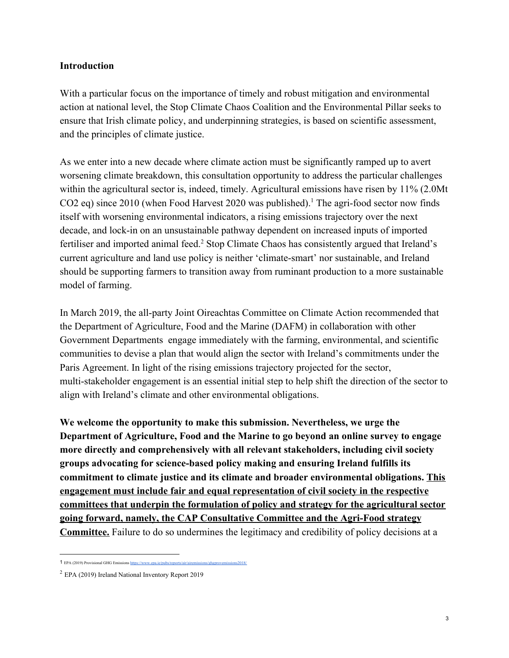#### **Introduction**

With a particular focus on the importance of timely and robust mitigation and environmental action at national level, the Stop Climate Chaos Coalition and the Environmental Pillar seeks to ensure that Irish climate policy, and underpinning strategies, is based on scientific assessment, and the principles of climate justice.

As we enter into a new decade where climate action must be significantly ramped up to avert worsening climate breakdown, this consultation opportunity to address the particular challenges within the agricultural sector is, indeed, timely. Agricultural emissions have risen by 11% (2.0Mt CO2 eq) since 2010 (when Food Harvest 2020 was published).<sup>1</sup> The agri-food sector now finds itself with worsening environmental indicators, a rising emissions trajectory over the next decade, and lock-in on an unsustainable pathway dependent on increased inputs of imported fertiliser and imported animal feed.<sup>2</sup> Stop Climate Chaos has consistently argued that Ireland's current agriculture and land use policy is neither 'climate-smart' nor sustainable, and Ireland should be supporting farmers to transition away from ruminant production to a more sustainable model of farming.

In March 2019, the all-party Joint Oireachtas Committee on Climate Action recommended that the Department of Agriculture, Food and the Marine (DAFM) in collaboration with other Government Departments engage immediately with the farming, environmental, and scientific communities to devise a plan that would align the sector with Ireland's commitments under the Paris Agreement. In light of the rising emissions trajectory projected for the sector, multi-stakeholder engagement is an essential initial step to help shift the direction of the sector to align with Ireland's climate and other environmental obligations.

**We welcome the opportunity to make this submission. Nevertheless, we urge the Department of Agriculture, Food and the Marine to go beyond an online survey to engage more directly and comprehensively with all relevant stakeholders, including civil society groups advocating for science-based policy making and ensuring Ireland fulfills its commitment to climate justice and its climate and broader environmental obligations. This engagement must include fair and equal representation of civil society in the respective committees that underpin the formulation of policy and strategy for the agricultural sector going forward, namely, the CAP Consultative Committee and the Agri-Food strategy Committee.** Failure to do so undermines the legitimacy and credibility of policy decisions at a

<sup>1</sup> EPA (2019) Provisional GHG Emissions https://www.epa.ie/pub

<sup>2</sup> EPA (2019) Ireland National Inventory Report 2019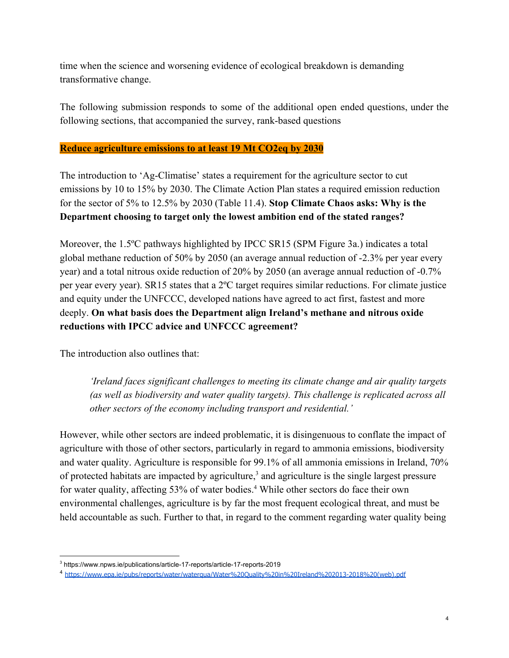time when the science and worsening evidence of ecological breakdown is demanding transformative change.

The following submission responds to some of the additional open ended questions, under the following sections, that accompanied the survey, rank-based questions

## **Reduce agriculture emissions to at least 19 Mt CO2eq by 2030**

The introduction to 'Ag-Climatise' states a requirement for the agriculture sector to cut emissions by 10 to 15% by 2030. The Climate Action Plan states a required emission reduction for the sector of 5% to 12.5% by 2030 (Table 11.4). **Stop Climate Chaos asks: Why is the Department choosing to target only the lowest ambition end of the stated ranges?**

Moreover, the 1.5<sup>o</sup>C pathways highlighted by IPCC SR15 (SPM Figure 3a.) indicates a total global methane reduction of 50% by 2050 (an average annual reduction of -2.3% per year every year) and a total nitrous oxide reduction of 20% by 2050 (an average annual reduction of -0.7% per year every year). SR15 states that a 2ºC target requires similar reductions. For climate justice and equity under the UNFCCC, developed nations have agreed to act first, fastest and more deeply. **On what basis does the Department align Ireland's methane and nitrous oxide reductions with IPCC advice and UNFCCC agreement?**

The introduction also outlines that:

*'Ireland faces significant challenges to meeting its climate change and air quality targets (as well as biodiversity and water quality targets). This challenge is replicated across all other sectors of the economy including transport and residential.'*

However, while other sectors are indeed problematic, it is disingenuous to conflate the impact of agriculture with those of other sectors, particularly in regard to ammonia emissions, biodiversity and water quality. Agriculture is responsible for 99.1% of all ammonia emissions in Ireland, 70% of protected habitats are impacted by agriculture,<sup>3</sup> and agriculture is the single largest pressure for water quality, affecting 53% of water bodies.<sup>4</sup> While other sectors do face their own environmental challenges, agriculture is by far the most frequent ecological threat, and must be held accountable as such. Further to that, in regard to the comment regarding water quality being

<sup>3</sup> https://www.npws.ie/publications/article-17-reports/article-17-reports-2019

<sup>4</sup> [https://www.epa.ie/pubs/reports/water/waterqua/Water%20Quality%20in%20Ireland%202013-2018%20\(web\).pdf](https://www.epa.ie/pubs/reports/water/waterqua/Water%20Quality%20in%20Ireland%202013-2018%20(web).pdf)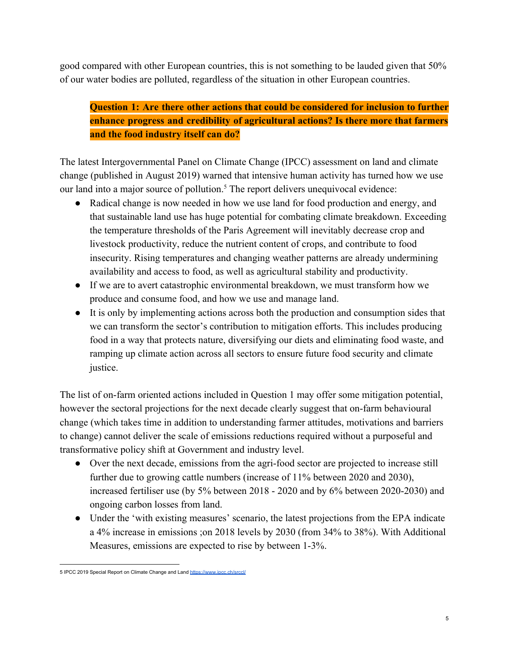good compared with other European countries, this is not something to be lauded given that 50% of our water bodies are polluted, regardless of the situation in other European countries.

**Question 1: Are there other actions that could be considered for inclusion to further enhance progress and credibility of agricultural actions? Is there more that farmers and the food industry itself can do?**

The latest Intergovernmental Panel on Climate Change (IPCC) assessment on land and climate change (published in August 2019) warned that intensive human activity has turned how we use our land into a major source of pollution.<sup>5</sup> The report delivers unequivocal evidence:

- Radical change is now needed in how we use land for food production and energy, and that sustainable land use has huge potential for combating climate breakdown. Exceeding the temperature thresholds of the Paris Agreement will inevitably decrease crop and livestock productivity, reduce the nutrient content of crops, and contribute to food insecurity. Rising temperatures and changing weather patterns are already undermining availability and access to food, as well as agricultural stability and productivity.
- If we are to avert catastrophic environmental breakdown, we must transform how we produce and consume food, and how we use and manage land.
- It is only by implementing actions across both the production and consumption sides that we can transform the sector's contribution to mitigation efforts. This includes producing food in a way that protects nature, diversifying our diets and eliminating food waste, and ramping up climate action across all sectors to ensure future food security and climate justice.

The list of on-farm oriented actions included in Question 1 may offer some mitigation potential, however the sectoral projections for the next decade clearly suggest that on-farm behavioural change (which takes time in addition to understanding farmer attitudes, motivations and barriers to change) cannot deliver the scale of emissions reductions required without a purposeful and transformative policy shift at Government and industry level.

- Over the next decade, emissions from the agri-food sector are projected to increase still further due to growing cattle numbers (increase of 11% between 2020 and 2030), increased fertiliser use (by 5% between 2018 - 2020 and by 6% between 2020-2030) and ongoing carbon losses from land.
- Under the 'with existing measures' scenario, the latest projections from the EPA indicate a 4% increase in emissions ;on 2018 levels by 2030 (from 34% to 38%). With Additional Measures, emissions are expected to rise by between 1-3%.

<sup>5</sup> IPCC 2019 Special Report on Climate Change and Land <https://www.ipcc.ch/srccl/>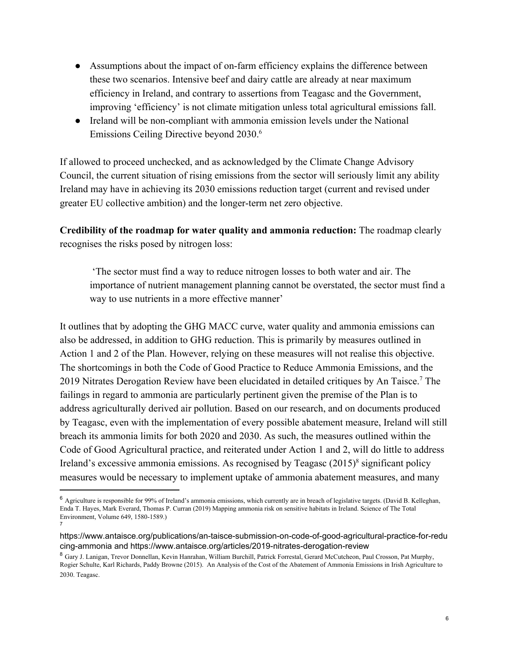- Assumptions about the impact of on-farm efficiency explains the difference between these two scenarios. Intensive beef and dairy cattle are already at near maximum efficiency in Ireland, and contrary to assertions from Teagasc and the Government, improving 'efficiency' is not climate mitigation unless total agricultural emissions fall.
- Ireland will be non-compliant with ammonia emission levels under the National Emissions Ceiling Directive beyond 2030.<sup>6</sup>

If allowed to proceed unchecked, and as acknowledged by the Climate Change Advisory Council, the current situation of rising emissions from the sector will seriously limit any ability Ireland may have in achieving its 2030 emissions reduction target (current and revised under greater EU collective ambition) and the longer-term net zero objective.

**Credibility of the roadmap for water quality and ammonia reduction:** The roadmap clearly recognises the risks posed by nitrogen loss:

 'The sector must find a way to reduce nitrogen losses to both water and air. The importance of nutrient management planning cannot be overstated, the sector must find a way to use nutrients in a more effective manner'

It outlines that by adopting the GHG MACC curve, water quality and ammonia emissions can also be addressed, in addition to GHG reduction. This is primarily by measures outlined in Action 1 and 2 of the Plan. However, relying on these measures will not realise this objective. The shortcomings in both the Code of Good Practice to Reduce Ammonia Emissions, and the 2019 Nitrates Derogation Review have been elucidated in detailed critiques by An Taisce.<sup>7</sup> The failings in regard to ammonia are particularly pertinent given the premise of the Plan is to address agriculturally derived air pollution. Based on our research, and on documents produced by Teagasc, even with the implementation of every possible abatement measure, Ireland will still breach its ammonia limits for both 2020 and 2030. As such, the measures outlined within the Code of Good Agricultural practice, and reiterated under Action 1 and 2, will do little to address Ireland's excessive ammonia emissions. As recognised by Teagasc  $(2015)^8$  significant policy measures would be necessary to implement uptake of ammonia abatement measures, and many

<sup>6</sup> Agriculture is responsible for 99% of Ireland's ammonia emissions, which currently are in breach of legislative targets. (David B. Kelleghan, Enda T. Hayes, Mark Everard, Thomas P. Curran (2019) Mapping ammonia risk on sensitive habitats in Ireland. Science of The Total Environment, Volume 649, 1580-1589.) 7

[https://www.antaisce.org/publications/an-taisce-submission-on-code-of-good-agricultural-practice-for-redu](https://www.antaisce.org/publications/an-taisce-submission-on-code-of-good-agricultural-practice-for-reducing-ammonia) [cing-ammonia](https://www.antaisce.org/publications/an-taisce-submission-on-code-of-good-agricultural-practice-for-reducing-ammonia) and <https://www.antaisce.org/articles/2019-nitrates-derogation-review>

<sup>8</sup> Gary J. Lanigan, Trevor Donnellan, Kevin Hanrahan, William Burchill, Patrick Forrestal, Gerard McCutcheon, Paul Crosson, Pat Murphy, Rogier Schulte, Karl Richards, Paddy Browne (2015). An Analysis of the Cost of the Abatement of Ammonia Emissions in Irish Agriculture to 2030. Teagasc.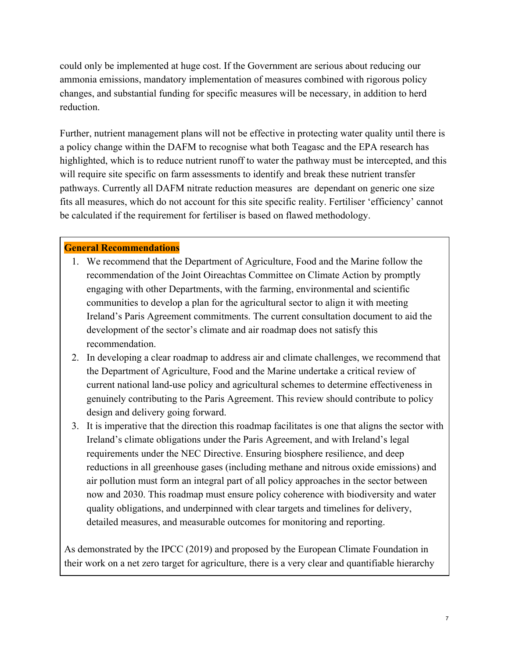could only be implemented at huge cost. If the Government are serious about reducing our ammonia emissions, mandatory implementation of measures combined with rigorous policy changes, and substantial funding for specific measures will be necessary, in addition to herd reduction.

Further, nutrient management plans will not be effective in protecting water quality until there is a policy change within the DAFM to recognise what both Teagasc and the EPA research has highlighted, which is to reduce nutrient runoff to water the pathway must be intercepted, and this will require site specific on farm assessments to identify and break these nutrient transfer pathways. Currently all DAFM nitrate reduction measures are dependant on generic one size fits all measures, which do not account for this site specific reality. Fertiliser 'efficiency' cannot be calculated if the requirement for fertiliser is based on flawed methodology.

#### **General Recommendations**

- 1. We recommend that the Department of Agriculture, Food and the Marine follow the recommendation of the Joint Oireachtas Committee on Climate Action by promptly engaging with other Departments, with the farming, environmental and scientific communities to develop a plan for the agricultural sector to align it with meeting Ireland's Paris Agreement commitments. The current consultation document to aid the development of the sector's climate and air roadmap does not satisfy this recommendation.
- 2. In developing a clear roadmap to address air and climate challenges, we recommend that the Department of Agriculture, Food and the Marine undertake a critical review of current national land-use policy and agricultural schemes to determine effectiveness in genuinely contributing to the Paris Agreement. This review should contribute to policy design and delivery going forward.
- 3. It is imperative that the direction this roadmap facilitates is one that aligns the sector with Ireland's climate obligations under the Paris Agreement, and with Ireland's legal requirements under the NEC Directive. Ensuring biosphere resilience, and deep reductions in all greenhouse gases (including methane and nitrous oxide emissions) and air pollution must form an integral part of all policy approaches in the sector between now and 2030. This roadmap must ensure policy coherence with biodiversity and water quality obligations, and underpinned with clear targets and timelines for delivery, detailed measures, and measurable outcomes for monitoring and reporting.

As demonstrated by the IPCC (2019) and proposed by the European Climate Foundation in their work on a net zero target for agriculture, there is a very clear and quantifiable hierarchy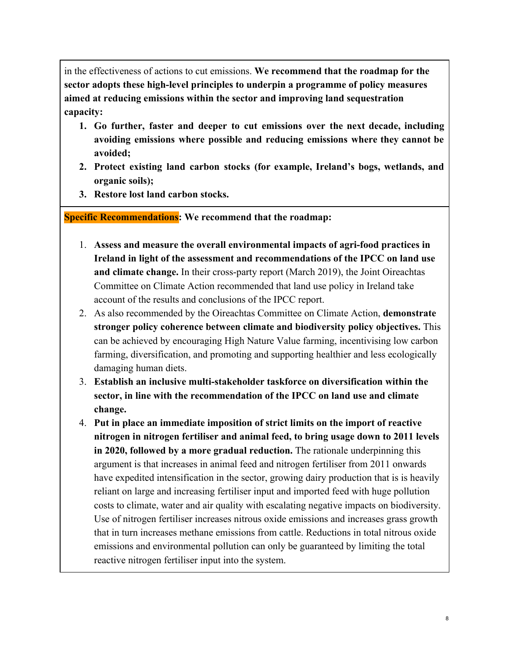in the effectiveness of actions to cut emissions. **We recommend that the roadmap for the sector adopts these high-level principles to underpin a programme of policy measures aimed at reducing emissions within the sector and improving land sequestration capacity:**

- **1. Go further, faster and deeper to cut emissions over the next decade, including avoiding emissions where possible and reducing emissions where they cannot be avoided;**
- **2. Protect existing land carbon stocks (for example, Ireland's bogs, wetlands, and organic soils);**
- **3. Restore lost land carbon stocks.**

**Specific Recommendations: We recommend that the roadmap:**

- 1. **Assess and measure the overall environmental impacts of agri-food practices in Ireland in light of the assessment and recommendations of the IPCC on land use and climate change.** In their cross-party report (March 2019), the Joint Oireachtas Committee on Climate Action recommended that land use policy in Ireland take account of the results and conclusions of the IPCC report.
- 2. As also recommended by the Oireachtas Committee on Climate Action, **demonstrate stronger policy coherence between climate and biodiversity policy objectives.** This can be achieved by encouraging High Nature Value farming, incentivising low carbon farming, diversification, and promoting and supporting healthier and less ecologically damaging human diets.
- 3. **Establish an inclusive multi-stakeholder taskforce on diversification within the sector, in line with the recommendation of the IPCC on land use and climate change.**
- 4. **Put in place an immediate imposition of strict limits on the import of reactive nitrogen in nitrogen fertiliser and animal feed, to bring usage down to 2011 levels in 2020, followed by a more gradual reduction.** The rationale underpinning this argument is that increases in animal feed and nitrogen fertiliser from 2011 onwards have expedited intensification in the sector, growing dairy production that is is heavily reliant on large and increasing fertiliser input and imported feed with huge pollution costs to climate, water and air quality with escalating negative impacts on biodiversity. Use of nitrogen fertiliser increases nitrous oxide emissions and increases grass growth that in turn increases methane emissions from cattle. Reductions in total nitrous oxide emissions and environmental pollution can only be guaranteed by limiting the total reactive nitrogen fertiliser input into the system.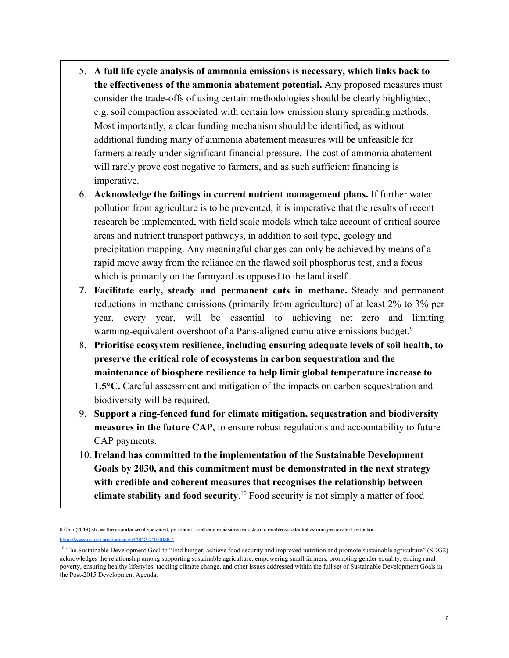- 5. **A full life cycle analysis of ammonia emissions is necessary, which links back to the effectiveness of the ammonia abatement potential.** Any proposed measures must consider the trade-offs of using certain methodologies should be clearly highlighted, e.g. soil compaction associated with certain low emission slurry spreading methods. Most importantly, a clear funding mechanism should be identified, as without additional funding many of ammonia abatement measures will be unfeasible for farmers already under significant financial pressure. The cost of ammonia abatement will rarely prove cost negative to farmers, and as such sufficient financing is imperative.
- 6. **Acknowledge the failings in current nutrient management plans.** If further water pollution from agriculture is to be prevented, it is imperative that the results of recent research be implemented, with field scale models which take account of critical source areas and nutrient transport pathways, in addition to soil type, geology and precipitation mapping. Any meaningful changes can only be achieved by means of a rapid move away from the reliance on the flawed soil phosphorus test, and a focus which is primarily on the farmyard as opposed to the land itself.
- 7. **Facilitate early, steady and permanent cuts in methane.** Steady and permanent reductions in methane emissions (primarily from agriculture) of at least 2% to 3% per year, every year, will be essential to achieving net zero and limiting warming-equivalent overshoot of a Paris-aligned cumulative emissions budget.<sup>9</sup>
- 8. **Prioritise ecosystem resilience, including ensuring adequate levels of soil health, to preserve the critical role of ecosystems in carbon sequestration and the maintenance of biosphere resilience to help limit global temperature increase to 1.5°C.** Careful assessment and mitigation of the impacts on carbon sequestration and biodiversity will be required.
- 9. **Support a ring-fenced fund for climate mitigation, sequestration and biodiversity measures in the future CAP**, to ensure robust regulations and accountability to future CAP payments.
- 10. **Ireland has committed to the implementation of the Sustainable Development Goals by 2030, and this commitment must be demonstrated in the next strategy with credible and coherent measures that recognises the relationship between climate stability and food security**.<sup>10</sup> Food security is not simply a matter of food

<sup>9</sup> Cain (2019) shows the importance of sustained, permanent methane emissions reduction to enable substantial warming-equivalent reduction: w.nature.com/articles/s41612-019-0086-4

<sup>&</sup>lt;sup>10</sup> The Sustainable Development Goal to "End hunger, achieve food security and improved nutrition and promote sustainable agriculture" (SDG2) acknowledges the relationship among supporting sustainable agriculture, empowering small farmers, promoting gender equality, ending rural poverty, ensuring healthy lifestyles, tackling climate change, and other issues addressed within the full set of Sustainable Development Goals in the Post-2015 Development Agenda.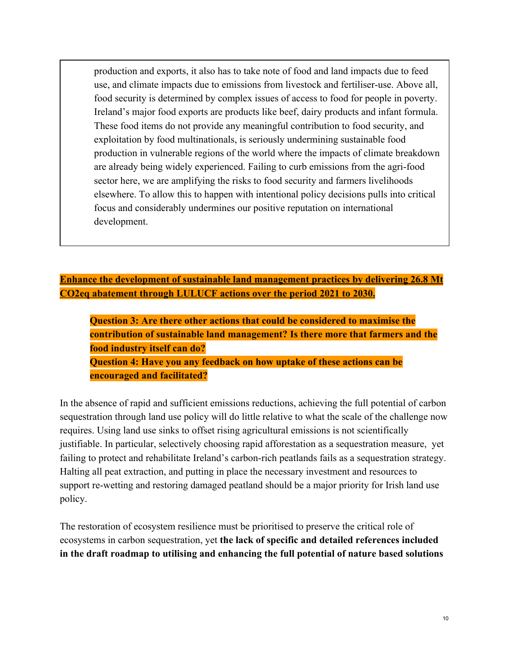production and exports, it also has to take note of food and land impacts due to feed use, and climate impacts due to emissions from livestock and fertiliser-use. Above all, food security is determined by complex issues of access to food for people in poverty. Ireland's major food exports are products like beef, dairy products and infant formula. These food items do not provide any meaningful contribution to food security, and exploitation by food multinationals, is seriously undermining sustainable food production in vulnerable regions of the world where the impacts of climate breakdown are already being widely experienced. Failing to curb emissions from the agri-food sector here, we are amplifying the risks to food security and farmers livelihoods elsewhere. To allow this to happen with intentional policy decisions pulls into critical focus and considerably undermines our positive reputation on international development.

**Enhance the development of sustainable land management practices by delivering 26.8 Mt CO2eq abatement through LULUCF actions over the period 2021 to 2030.**

**Question 3: Are there other actions that could be considered to maximise the contribution of sustainable land management? Is there more that farmers and the food industry itself can do? Question 4: Have you any feedback on how uptake of these actions can be encouraged and facilitated?**

In the absence of rapid and sufficient emissions reductions, achieving the full potential of carbon sequestration through land use policy will do little relative to what the scale of the challenge now requires. Using land use sinks to offset rising agricultural emissions is not scientifically justifiable. In particular, selectively choosing rapid afforestation as a sequestration measure, yet failing to protect and rehabilitate Ireland's carbon-rich peatlands fails as a sequestration strategy. Halting all peat extraction, and putting in place the necessary investment and resources to support re-wetting and restoring damaged peatland should be a major priority for Irish land use policy.

The restoration of ecosystem resilience must be prioritised to preserve the critical role of ecosystems in carbon sequestration, yet **the lack of specific and detailed references included in the draft roadmap to utilising and enhancing the full potential of nature based solutions**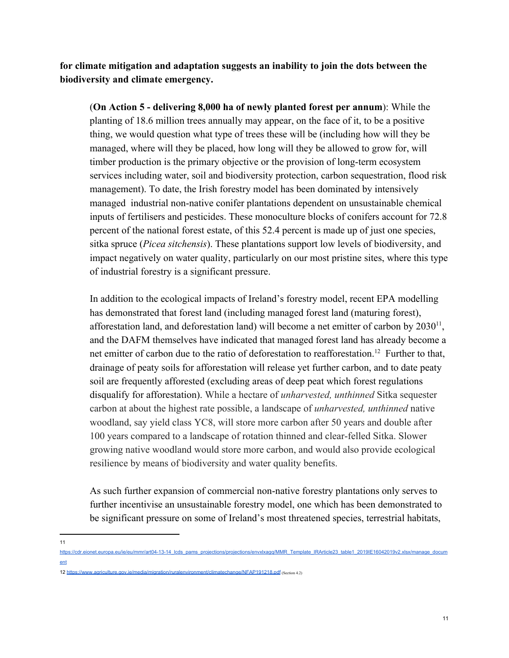**for climate mitigation and adaptation suggests an inability to join the dots between the biodiversity and climate emergency.**

(**On Action 5 - delivering 8,000 ha of newly planted forest per annum**): While the planting of 18.6 million trees annually may appear, on the face of it, to be a positive thing, we would question what type of trees these will be (including how will they be managed, where will they be placed, how long will they be allowed to grow for, will timber production is the primary objective or the provision of long-term ecosystem services including water, soil and biodiversity protection, carbon sequestration, flood risk management). To date, the Irish forestry model has been dominated by intensively managed industrial non-native conifer plantations dependent on unsustainable chemical inputs of fertilisers and pesticides. These monoculture blocks of conifers account for 72.8 percent of the national forest estate, of this 52.4 percent is made up of just one species, sitka spruce (*Picea sitchensis*). These plantations support low levels of biodiversity, and impact negatively on water quality, particularly on our most pristine sites, where this type of industrial forestry is a significant pressure.

In addition to the ecological impacts of Ireland's forestry model, recent EPA modelling has demonstrated that forest land (including managed forest land (maturing forest), afforestation land, and deforestation land) will become a net emitter of carbon by  $2030<sup>11</sup>$ , and the DAFM themselves have indicated that managed forest land has already become a net emitter of carbon due to the ratio of deforestation to reafforestation.<sup>12</sup> Further to that, drainage of peaty soils for afforestation will release yet further carbon, and to date peaty soil are frequently afforested (excluding areas of deep peat which forest regulations disqualify for afforestation). While a hectare of *unharvested, unthinned* Sitka sequester carbon at about the highest rate possible, a landscape of *unharvested, unthinned* native woodland, say yield class YC8, will store more carbon after 50 years and double after 100 years compared to a landscape of rotation thinned and clear-felled Sitka. Slower growing native woodland would store more carbon, and would also provide ecological resilience by means of biodiversity and water quality benefits.

As such further expansion of commercial non-native forestry plantations only serves to further incentivise an unsustainable forestry model, one which has been demonstrated to be significant pressure on some of Ireland's most threatened species, terrestrial habitats,

11

[https://cdr.eionet.europa.eu/ie/eu/mmr/art04-13-14\\_lcds\\_pams\\_projections/projections/envxlxagq/MMR\\_Template\\_IRArticle23\\_table1\\_2019IE16042019v2.xlsx/manage\\_docum](https://cdr.eionet.europa.eu/ie/eu/mmr/art04-13-14_lcds_pams_projections/projections/envxlxagq/MMR_Template_IRArticle23_table1_2019IE16042019v2.xlsx/manage_document) [ent](https://cdr.eionet.europa.eu/ie/eu/mmr/art04-13-14_lcds_pams_projections/projections/envxlxagq/MMR_Template_IRArticle23_table1_2019IE16042019v2.xlsx/manage_document)

<sup>12</sup> <https://www.agriculture.gov.ie/media/migration/ruralenvironment/climatechange/NFAP191218.pdf> (Section 4.2)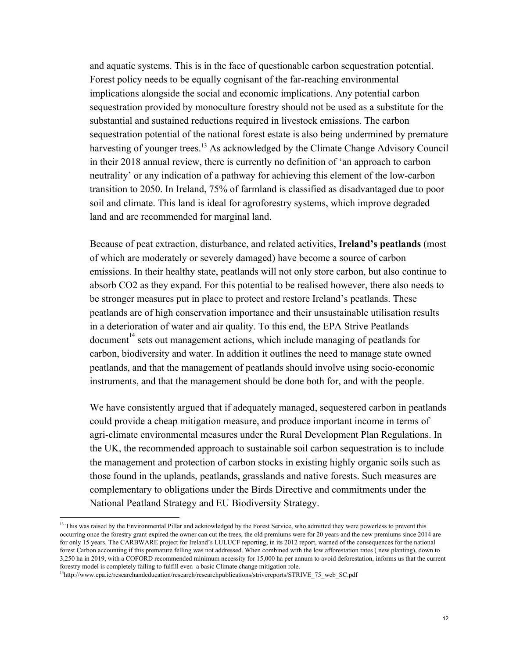and aquatic systems. This is in the face of questionable carbon sequestration potential. Forest policy needs to be equally cognisant of the far-reaching environmental implications alongside the social and economic implications. Any potential carbon sequestration provided by monoculture forestry should not be used as a substitute for the substantial and sustained reductions required in livestock emissions. The carbon sequestration potential of the national forest estate is also being undermined by premature harvesting of younger trees.<sup>13</sup> As acknowledged by the Climate Change Advisory Council in their 2018 annual review, there is currently no definition of 'an approach to carbon neutrality' or any indication of a pathway for achieving this element of the low-carbon transition to 2050. In Ireland, 75% of farmland is classified as disadvantaged due to poor soil and climate. This land is ideal for agroforestry systems, which improve degraded land and are recommended for marginal land.

Because of peat extraction, disturbance, and related activities, **Ireland's peatlands** (most of which are moderately or severely damaged) have become a source of carbon emissions. In their healthy state, peatlands will not only store carbon, but also continue to absorb CO2 as they expand. For this potential to be realised however, there also needs to be stronger measures put in place to protect and restore Ireland's peatlands. These peatlands are of high conservation importance and their unsustainable utilisation results in a deterioration of water and air quality. To this end, the EPA Strive Peatlands document<sup> $14$ </sup> sets out management actions, which include managing of peatlands for carbon, biodiversity and water. In addition it outlines the need to manage state owned peatlands, and that the management of peatlands should involve using socio-economic instruments, and that the management should be done both for, and with the people.

We have consistently argued that if adequately managed, sequestered carbon in peatlands could provide a cheap mitigation measure, and produce important income in terms of agri-climate environmental measures under the Rural Development Plan Regulations. In the UK, the recommended approach to sustainable soil carbon sequestration is to include the management and protection of carbon stocks in existing highly organic soils such as those found in the uplands, peatlands, grasslands and native forests. Such measures are complementary to obligations under the Birds Directive and commitments under the National Peatland Strategy and EU Biodiversity Strategy.

<sup>&</sup>lt;sup>13</sup> This was raised by the Environmental Pillar and acknowledged by the Forest Service, who admitted they were powerless to prevent this occurring once the forestry grant expired the owner can cut the trees, the old premiums were for 20 years and the new premiums since 2014 are for only 15 years. The CARBWARE project for Ireland's LULUCF reporting, in its 2012 report, warned of the consequences for the national forest Carbon accounting if this premature felling was not addressed. When combined with the low afforestation rates ( new planting), down to 3,250 ha in 2019, with a COFORD recommended minimum necessity for 15,000 ha per annum to avoid deforestation, informs us that the current forestry model is completely failing to fulfill even a basic Climate change mitigation role.

<sup>&</sup>lt;sup>14</sup>http://www.epa.ie/researchandeducation/research/researchpublications/strivereports/STRIVE\_75\_web\_SC.pdf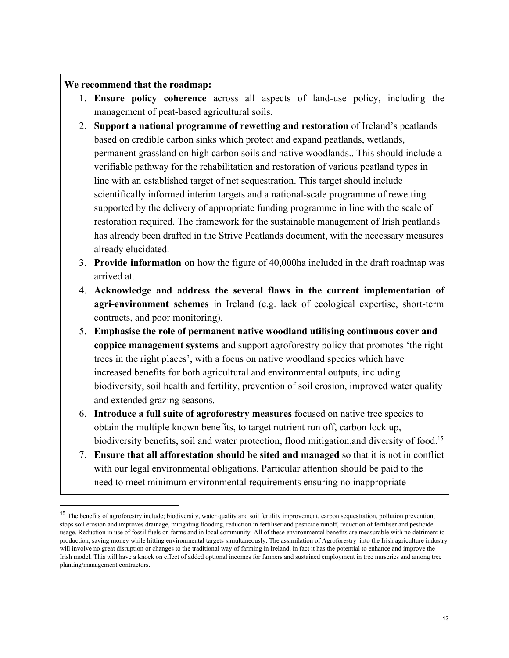# **We recommend that the roadmap:**

- 1. **Ensure policy coherence** across all aspects of land-use policy, including the management of peat-based agricultural soils.
- 2. **Support a national programme of rewetting and restoration** of Ireland's peatlands based on credible carbon sinks which protect and expand peatlands, wetlands, permanent grassland on high carbon soils and native woodlands.. This should include a verifiable pathway for the rehabilitation and restoration of various peatland types in line with an established target of net sequestration. This target should include scientifically informed interim targets and a national-scale programme of rewetting supported by the delivery of appropriate funding programme in line with the scale of restoration required. The framework for the sustainable management of Irish peatlands has already been drafted in the Strive Peatlands document, with the necessary measures already elucidated.
- 3. **Provide information** on how the figure of 40,000ha included in the draft roadmap was arrived at.
- 4. **Acknowledge and address the several flaws in the current implementation of agri-environment schemes** in Ireland (e.g. lack of ecological expertise, short-term contracts, and poor monitoring).
- 5. **Emphasise the role of permanent native woodland utilising continuous cover and coppice management systems** and support agroforestry policy that promotes 'the right trees in the right places', with a focus on native woodland species which have increased benefits for both agricultural and environmental outputs, including biodiversity, soil health and fertility, prevention of soil erosion, improved water quality and extended grazing seasons.
- 6. **Introduce a full suite of agroforestry measures** focused on native tree species to obtain the multiple known benefits, to target nutrient run off, carbon lock up, biodiversity benefits, soil and water protection, flood mitigation, and diversity of food.<sup>15</sup>
- 7. **Ensure that all afforestation should be sited and managed** so that it is not in conflict with our legal environmental obligations. Particular attention should be paid to the need to meet minimum environmental requirements ensuring no inappropriate

<sup>&</sup>lt;sup>15</sup> The benefits of agroforestry include; biodiversity, water quality and soil fertility improvement, carbon sequestration, pollution prevention, stops soil erosion and improves drainage, mitigating flooding, reduction in fertiliser and pesticide runoff, reduction of fertiliser and pesticide usage. Reduction in use of fossil fuels on farms and in local community. All of these environmental benefits are measurable with no detriment to production, saving money while hitting environmental targets simultaneously. The assimilation of Agroforestry into the Irish agriculture industry will involve no great disruption or changes to the traditional way of farming in Ireland, in fact it has the potential to enhance and improve the Irish model. This will have a knock on effect of added optional incomes for farmers and sustained employment in tree nurseries and among tree planting/management contractors.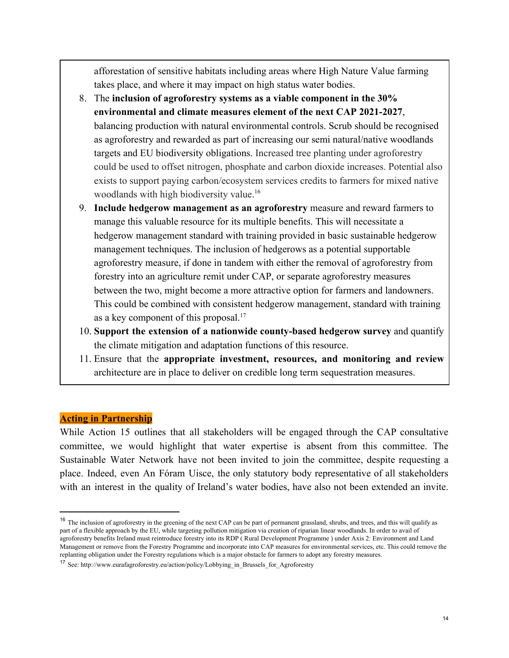afforestation of sensitive habitats including areas where High Nature Value farming takes place, and where it may impact on high status water bodies.

- 8. The **inclusion of agroforestry systems as a viable component in the 30% environmental and climate measures element of the next CAP 2021-2027**, balancing production with natural environmental controls. Scrub should be recognised as agroforestry and rewarded as part of increasing our semi natural/native woodlands targets and EU biodiversity obligations. Increased tree planting under agroforestry could be used to offset nitrogen, phosphate and carbon dioxide increases. Potential also exists to support paying carbon/ecosystem services credits to farmers for mixed native woodlands with high biodiversity value.<sup>16</sup>
- 9. **Include hedgerow management as an agroforestry** measure and reward farmers to manage this valuable resource for its multiple benefits. This will necessitate a hedgerow management standard with training provided in basic sustainable hedgerow management techniques. The inclusion of hedgerows as a potential supportable agroforestry measure, if done in tandem with either the removal of agroforestry from forestry into an agriculture remit under CAP, or separate agroforestry measures between the two, might become a more attractive option for farmers and landowners. This could be combined with consistent hedgerow management, standard with training as a key component of this proposal.<sup>17</sup>
- 10. **Support the extension of a nationwide county-based hedgerow survey** and quantify the climate mitigation and adaptation functions of this resource.
- 11. Ensure that the **appropriate investment, resources, and monitoring and review** architecture are in place to deliver on credible long term sequestration measures.

#### **Acting in Partnership**

While Action 15 outlines that all stakeholders will be engaged through the CAP consultative committee, we would highlight that water expertise is absent from this committee. The Sustainable Water Network have not been invited to join the committee, despite requesting a place. Indeed, even An Fóram Uisce, the only statutory body representative of all stakeholders with an interest in the quality of Ireland's water bodies, have also not been extended an invite.

<sup>&</sup>lt;sup>16</sup> The inclusion of agroforestry in the greening of the next CAP can be part of permanent grassland, shrubs, and trees, and this will qualify as part of a flexible approach by the EU, while targeting pollution mitigation via creation of riparian linear woodlands. In order to avail of agroforestry benefits Ireland must reintroduce forestry into its RDP ( Rural Development Programme ) under Axis 2: Environment and Land Management or remove from the Forestry Programme and incorporate into CAP measures for environmental services, etc. This could remove the replanting obligation under the Forestry regulations which is a major obstacle for farmers to adopt any forestry measures.

<sup>17</sup> See: [http://www.eurafagroforestry.eu/action/policy/Lobbying\\_in\\_Brussels\\_for\\_Agroforestry](http://www.eurafagroforestry.eu/action/policy/Lobbying_in_Brussels_for_Agroforestry)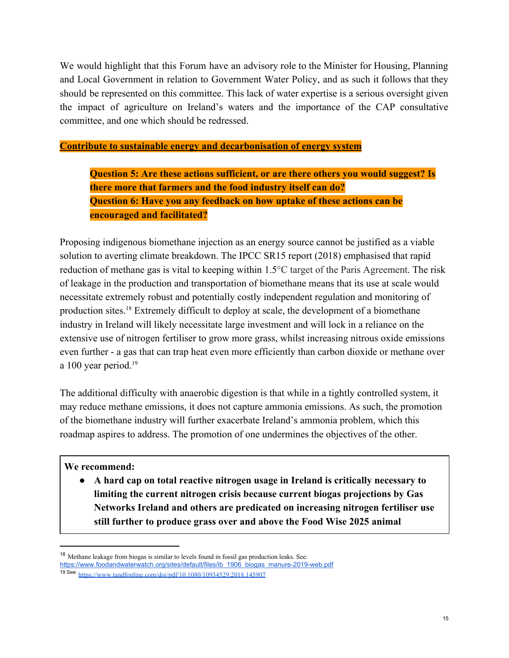We would highlight that this Forum have an advisory role to the Minister for Housing, Planning and Local Government in relation to Government Water Policy, and as such it follows that they should be represented on this committee. This lack of water expertise is a serious oversight given the impact of agriculture on Ireland's waters and the importance of the CAP consultative committee, and one which should be redressed.

**Contribute to sustainable energy and decarbonisation of energy system**

**Question 5: Are these actions sufficient, or are there others you would suggest? Is there more that farmers and the food industry itself can do? Question 6: Have you any feedback on how uptake of these actions can be encouraged and facilitated?**

Proposing indigenous biomethane injection as an energy source cannot be justified as a viable solution to averting climate breakdown. The IPCC SR15 report (2018) emphasised that rapid reduction of methane gas is vital to keeping within 1.5°C target of the Paris Agreement. The risk of leakage in the production and transportation of biomethane means that its use at scale would necessitate extremely robust and potentially costly independent regulation and monitoring of production sites.<sup>18</sup> Extremely difficult to deploy at scale, the development of a biomethane industry in Ireland will likely necessitate large investment and will lock in a reliance on the extensive use of nitrogen fertiliser to grow more grass, whilst increasing nitrous oxide emissions even further - a gas that can trap heat even more efficiently than carbon dioxide or methane over a 100 year period.<sup>19</sup>

The additional difficulty with anaerobic digestion is that while in a tightly controlled system, it may reduce methane emissions, it does not capture ammonia emissions. As such, the promotion of the biomethane industry will further exacerbate Ireland's ammonia problem, which this roadmap aspires to address. The promotion of one undermines the objectives of the other.

#### **We recommend:**

● **A hard cap on total reactive nitrogen usage in Ireland is critically necessary to limiting the current nitrogen crisis because current biogas projections by Gas Networks Ireland and others are predicated on increasing nitrogen fertiliser use still further to produce grass over and above the Food Wise 2025 animal**

<sup>&</sup>lt;sup>18</sup> Methane leakage from biogas is similar to levels found in fossil gas production leaks. See: [https://www.foodandwaterwatch.org/sites/default/files/ib\\_1906\\_biogas\\_manure-2019-web.pdf](https://www.foodandwaterwatch.org/sites/default/files/ib_1906_biogas_manure-2019-web.pdf) 19 See: [https://www.tandfonline.com/doi/pdf/10.1080/10934529.2018.145907](https://www.tandfonline.com/doi/pdf/10.1080/10934529.2018.1459076)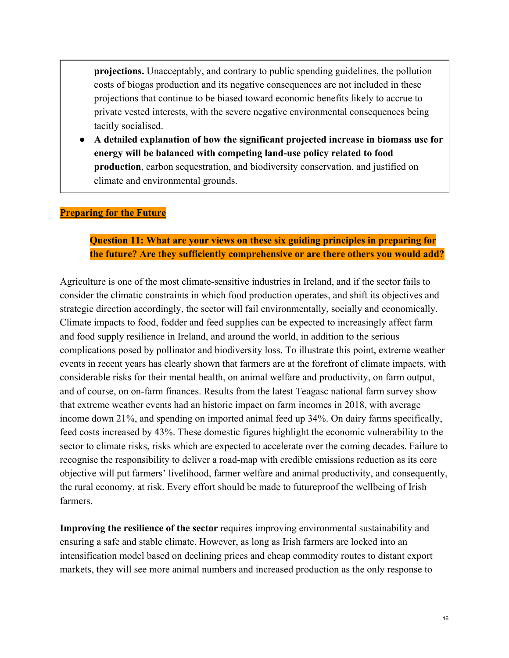**projections.** Unacceptably, and contrary to public spending guidelines, the pollution costs of biogas production and its negative consequences are not included in these projections that continue to be biased toward economic benefits likely to accrue to private vested interests, with the severe negative environmental consequences being tacitly socialised.

● **A detailed explanation of how the significant projected increase in biomass use for energy will be balanced with competing land-use policy related to food production**, carbon sequestration, and biodiversity conservation, and justified on climate and environmental grounds.

## **Preparing for the Future**

# **Question 11: What are your views on these six guiding principles in preparing for the future? Are they sufficiently comprehensive or are there others you would add?**

Agriculture is one of the most climate-sensitive industries in Ireland, and if the sector fails to consider the climatic constraints in which food production operates, and shift its objectives and strategic direction accordingly, the sector will fail environmentally, socially and economically. Climate impacts to food, fodder and feed supplies can be expected to increasingly affect farm and food supply resilience in Ireland, and around the world, in addition to the serious complications posed by pollinator and biodiversity loss. To illustrate this point, extreme weather events in recent years has clearly shown that farmers are at the forefront of climate impacts, with considerable risks for their mental health, on animal welfare and productivity, on farm output, and of course, on on-farm finances. Results from the latest Teagasc national farm survey show that extreme weather events had an historic impact on farm incomes in 2018, with average income down 21%, and spending on imported animal feed up 34%. On dairy farms specifically, feed costs increased by 43%. These domestic figures highlight the economic vulnerability to the sector to climate risks, risks which are expected to accelerate over the coming decades. Failure to recognise the responsibility to deliver a road-map with credible emissions reduction as its core objective will put farmers' livelihood, farmer welfare and animal productivity, and consequently, the rural economy, at risk. Every effort should be made to futureproof the wellbeing of Irish farmers.

**Improving the resilience of the sector** requires improving environmental sustainability and ensuring a safe and stable climate. However, as long as Irish farmers are locked into an intensification model based on declining prices and cheap commodity routes to distant export markets, they will see more animal numbers and increased production as the only response to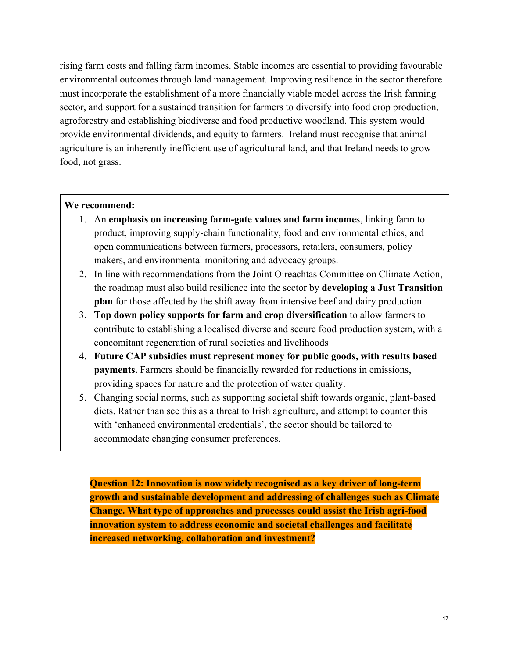rising farm costs and falling farm incomes. Stable incomes are essential to providing favourable environmental outcomes through land management. Improving resilience in the sector therefore must incorporate the establishment of a more financially viable model across the Irish farming sector, and support for a sustained transition for farmers to diversify into food crop production, agroforestry and establishing biodiverse and food productive woodland. This system would provide environmental dividends, and equity to farmers. Ireland must recognise that animal agriculture is an inherently inefficient use of agricultural land, and that Ireland needs to grow food, not grass.

#### **We recommend:**

- 1. An **emphasis on increasing farm-gate values and farm income**s, linking farm to product, improving supply-chain functionality, food and environmental ethics, and open communications between farmers, processors, retailers, consumers, policy makers, and environmental monitoring and advocacy groups.
- 2. In line with recommendations from the Joint Oireachtas Committee on Climate Action, the roadmap must also build resilience into the sector by **developing a Just Transition plan** for those affected by the shift away from intensive beef and dairy production.
- 3. **Top down policy supports for farm and crop diversification** to allow farmers to contribute to establishing a localised diverse and secure food production system, with a concomitant regeneration of rural societies and livelihoods
- 4. **Future CAP subsidies must represent money for public goods, with results based payments.** Farmers should be financially rewarded for reductions in emissions, providing spaces for nature and the protection of water quality.
- 5. Changing social norms, such as supporting societal shift towards organic, plant-based diets. Rather than see this as a threat to Irish agriculture, and attempt to counter this with 'enhanced environmental credentials', the sector should be tailored to accommodate changing consumer preferences.

**Question 12: Innovation is now widely recognised as a key driver of long-term growth and sustainable development and addressing of challenges such as Climate Change. What type of approaches and processes could assist the Irish agri-food innovation system to address economic and societal challenges and facilitate increased networking, collaboration and investment?**